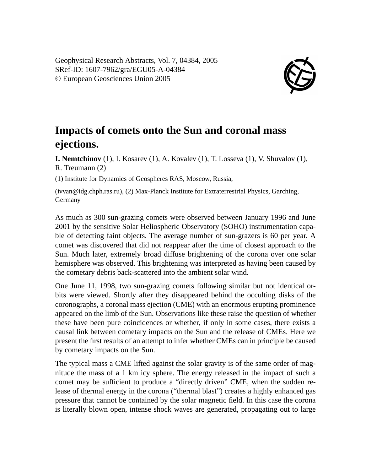Geophysical Research Abstracts, Vol. 7, 04384, 2005 SRef-ID: 1607-7962/gra/EGU05-A-04384 © European Geosciences Union 2005



## **Impacts of comets onto the Sun and coronal mass ejections.**

**I. Nemtchinov** (1), I. Kosarev (1), A. Kovalev (1), T. Losseva (1), V. Shuvalov (1), R. Treumann (2)

(1) Institute for Dynamics of Geospheres RAS, Moscow, Russia,

(ivvan@idg.chph.ras.ru), (2) Max-Planck Institute for Extraterrestrial Physics, Garching, **Germany** 

As much as 300 sun-grazing comets were observed between January 1996 and June 2001 by the sensitive Solar Heliospheric Observatory (SOHO) instrumentation capable of detecting faint objects. The average number of sun-grazers is 60 per year. A comet was discovered that did not reappear after the time of closest approach to the Sun. Much later, extremely broad diffuse brightening of the corona over one solar hemisphere was observed. This brightening was interpreted as having been caused by the cometary debris back-scattered into the ambient solar wind.

One June 11, 1998, two sun-grazing comets following similar but not identical orbits were viewed. Shortly after they disappeared behind the occulting disks of the coronographs, a coronal mass ejection (CME) with an enormous erupting prominence appeared on the limb of the Sun. Observations like these raise the question of whether these have been pure coincidences or whether, if only in some cases, there exists a causal link between cometary impacts on the Sun and the release of CMEs. Here we present the first results of an attempt to infer whether CMEs can in principle be caused by cometary impacts on the Sun.

The typical mass a CME lifted against the solar gravity is of the same order of magnitude the mass of a 1 km icy sphere. The energy released in the impact of such a comet may be sufficient to produce a "directly driven" CME, when the sudden release of thermal energy in the corona ("thermal blast") creates a highly enhanced gas pressure that cannot be contained by the solar magnetic field. In this case the corona is literally blown open, intense shock waves are generated, propagating out to large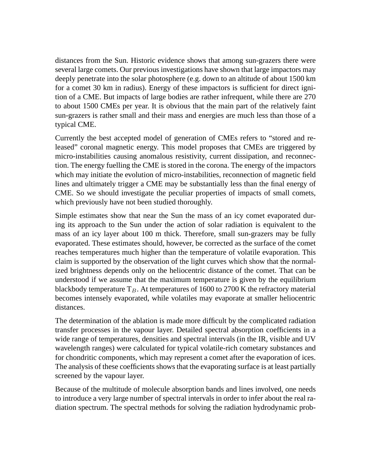distances from the Sun. Historic evidence shows that among sun-grazers there were several large comets. Our previous investigations have shown that large impactors may deeply penetrate into the solar photosphere (e.g. down to an altitude of about 1500 km for a comet 30 km in radius). Energy of these impactors is sufficient for direct ignition of a CME. But impacts of large bodies are rather infrequent, while there are 270 to about 1500 CMEs per year. It is obvious that the main part of the relatively faint sun-grazers is rather small and their mass and energies are much less than those of a typical CME.

Currently the best accepted model of generation of CMEs refers to "stored and released" coronal magnetic energy. This model proposes that CMEs are triggered by micro-instabilities causing anomalous resistivity, current dissipation, and reconnection. The energy fuelling the CME is stored in the corona. The energy of the impactors which may initiate the evolution of micro-instabilities, reconnection of magnetic field lines and ultimately trigger a CME may be substantially less than the final energy of CME. So we should investigate the peculiar properties of impacts of small comets, which previously have not been studied thoroughly.

Simple estimates show that near the Sun the mass of an icy comet evaporated during its approach to the Sun under the action of solar radiation is equivalent to the mass of an icy layer about 100 m thick. Therefore, small sun-grazers may be fully evaporated. These estimates should, however, be corrected as the surface of the comet reaches temperatures much higher than the temperature of volatile evaporation. This claim is supported by the observation of the light curves which show that the normalized brightness depends only on the heliocentric distance of the comet. That can be understood if we assume that the maximum temperature is given by the equilibrium blackbody temperature  $T_B$ . At temperatures of 1600 to 2700 K the refractory material becomes intensely evaporated, while volatiles may evaporate at smaller heliocentric distances.

The determination of the ablation is made more difficult by the complicated radiation transfer processes in the vapour layer. Detailed spectral absorption coefficients in a wide range of temperatures, densities and spectral intervals (in the IR, visible and UV wavelength ranges) were calculated for typical volatile-rich cometary substances and for chondritic components, which may represent a comet after the evaporation of ices. The analysis of these coefficients shows that the evaporating surface is at least partially screened by the vapour layer.

Because of the multitude of molecule absorption bands and lines involved, one needs to introduce a very large number of spectral intervals in order to infer about the real radiation spectrum. The spectral methods for solving the radiation hydrodynamic prob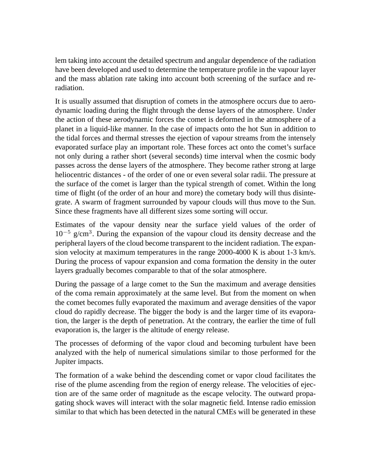lem taking into account the detailed spectrum and angular dependence of the radiation have been developed and used to determine the temperature profile in the vapour layer and the mass ablation rate taking into account both screening of the surface and reradiation.

It is usually assumed that disruption of comets in the atmosphere occurs due to aerodynamic loading during the flight through the dense layers of the atmosphere. Under the action of these aerodynamic forces the comet is deformed in the atmosphere of a planet in a liquid-like manner. In the case of impacts onto the hot Sun in addition to the tidal forces and thermal stresses the ejection of vapour streams from the intensely evaporated surface play an important role. These forces act onto the comet's surface not only during a rather short (several seconds) time interval when the cosmic body passes across the dense layers of the atmosphere. They become rather strong at large heliocentric distances - of the order of one or even several solar radii. The pressure at the surface of the comet is larger than the typical strength of comet. Within the long time of flight (of the order of an hour and more) the cometary body will thus disintegrate. A swarm of fragment surrounded by vapour clouds will thus move to the Sun. Since these fragments have all different sizes some sorting will occur.

Estimates of the vapour density near the surface yield values of the order of 10<sup>−</sup><sup>5</sup> g/cm<sup>3</sup> . During the expansion of the vapour cloud its density decrease and the peripheral layers of the cloud become transparent to the incident radiation. The expansion velocity at maximum temperatures in the range 2000-4000 K is about 1-3 km/s. During the process of vapour expansion and coma formation the density in the outer layers gradually becomes comparable to that of the solar atmosphere.

During the passage of a large comet to the Sun the maximum and average densities of the coma remain approximately at the same level. But from the moment on when the comet becomes fully evaporated the maximum and average densities of the vapor cloud do rapidly decrease. The bigger the body is and the larger time of its evaporation, the larger is the depth of penetration. At the contrary, the earlier the time of full evaporation is, the larger is the altitude of energy release.

The processes of deforming of the vapor cloud and becoming turbulent have been analyzed with the help of numerical simulations similar to those performed for the Jupiter impacts.

The formation of a wake behind the descending comet or vapor cloud facilitates the rise of the plume ascending from the region of energy release. The velocities of ejection are of the same order of magnitude as the escape velocity. The outward propagating shock waves will interact with the solar magnetic field. Intense radio emission similar to that which has been detected in the natural CMEs will be generated in these